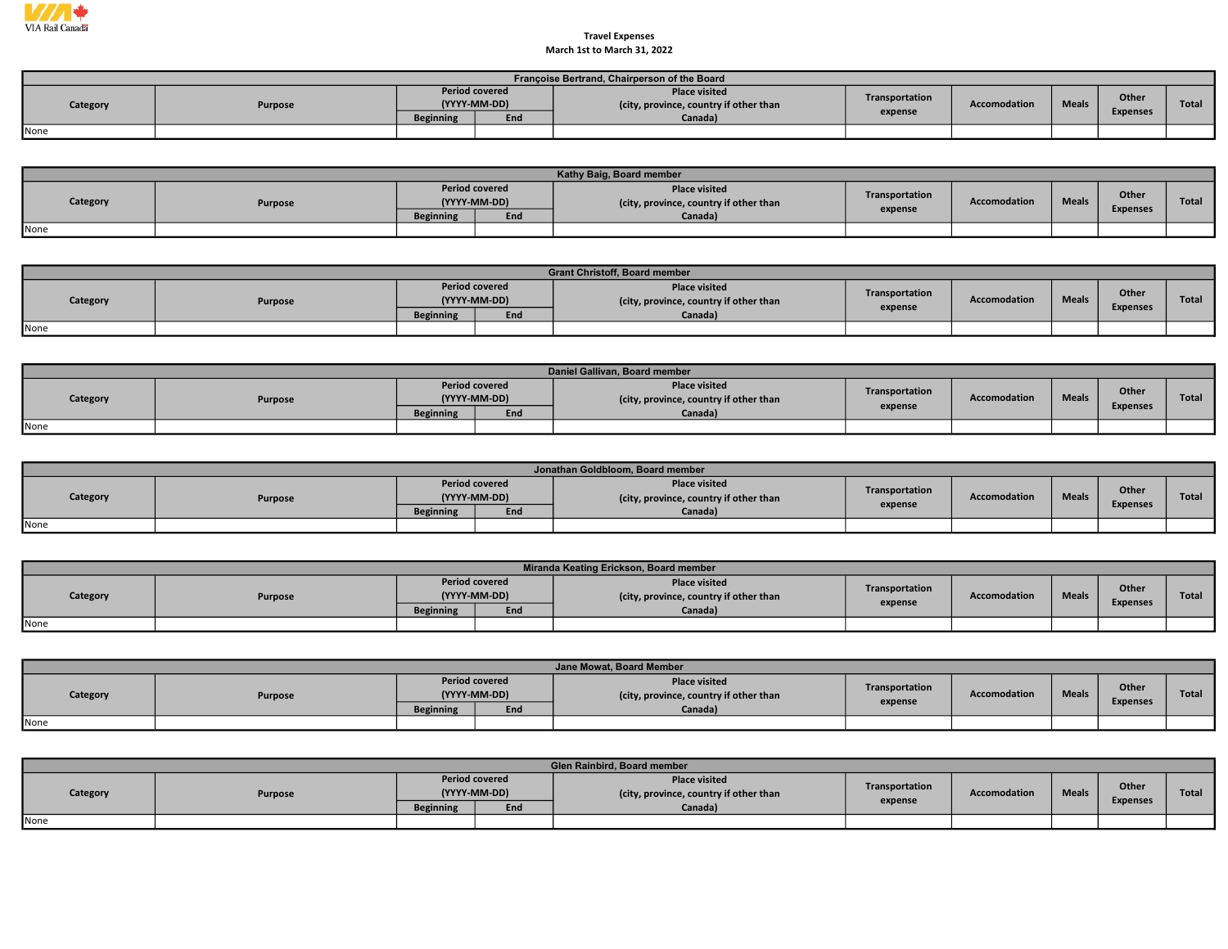

## Travel Expenses March 1st to March 31, 2022

|          | Françoise Bertrand, Chairperson of the Board |                                       |     |                                                                |                |                     |              |                 |       |  |  |  |  |
|----------|----------------------------------------------|---------------------------------------|-----|----------------------------------------------------------------|----------------|---------------------|--------------|-----------------|-------|--|--|--|--|
| Category | Purpose                                      | <b>Period covered</b><br>(YYYY-MM-DD) |     | <b>Place visited</b><br>(city, province, country if other than | Transportation | <b>Accomodation</b> | <b>Meals</b> | Other           | Total |  |  |  |  |
|          |                                              | <b>Beginning</b>                      | End | Canada)                                                        | expense        |                     |              | <b>Expenses</b> |       |  |  |  |  |
| None     |                                              |                                       |     |                                                                |                |                     |              |                 |       |  |  |  |  |

|          | Kathy Baig, Board member |                                       |     |                                                                |                |              |              |                 |              |  |  |  |
|----------|--------------------------|---------------------------------------|-----|----------------------------------------------------------------|----------------|--------------|--------------|-----------------|--------------|--|--|--|
| Category | Purpose                  | <b>Period covered</b><br>(YYYY-MM-DD) |     | <b>Place visited</b><br>(city, province, country if other than | Transportation | Accomodation | <b>Meals</b> | Other           | <b>Total</b> |  |  |  |
|          |                          | <b>Beginning</b>                      | End | Canada)                                                        | expense        |              |              | <b>Expenses</b> |              |  |  |  |
| None     |                          |                                       |     |                                                                |                |              |              |                 |              |  |  |  |

|          | <b>Grant Christoff, Board member</b> |                  |                                       |                                                                |                |              |              |                                 |              |  |  |  |
|----------|--------------------------------------|------------------|---------------------------------------|----------------------------------------------------------------|----------------|--------------|--------------|---------------------------------|--------------|--|--|--|
| Category | Purpose                              |                  | <b>Period covered</b><br>(YYYY-MM-DD) | <b>Place visited</b><br>(city, province, country if other than | Transportation | Accomodation | <b>Meals</b> | <b>Other</b><br><b>Expenses</b> | <b>Total</b> |  |  |  |
|          |                                      | <b>Beginning</b> | End                                   | Canada)                                                        | expense        |              |              |                                 |              |  |  |  |
| None     |                                      |                  |                                       |                                                                |                |              |              |                                 |              |  |  |  |

|          | Daniel Gallivan, Board member |                  |                                       |                                                                |                |                     |              |                          |              |  |  |  |
|----------|-------------------------------|------------------|---------------------------------------|----------------------------------------------------------------|----------------|---------------------|--------------|--------------------------|--------------|--|--|--|
| Category | Purpose                       |                  | <b>Period covered</b><br>(YYYY-MM-DD) | <b>Place visited</b><br>(city, province, country if other than | Transportation | <b>Accomodation</b> | <b>Meals</b> | Other<br><b>Expenses</b> | <b>Total</b> |  |  |  |
|          |                               | <b>Beginning</b> | End                                   | Canada)                                                        | expense        |                     |              |                          |              |  |  |  |
| None     |                               |                  |                                       |                                                                |                |                     |              |                          |              |  |  |  |

|          | Jonathan Goldbloom, Board member |                  |                                       |                                                                |                |                     |              |                 |              |  |  |  |  |
|----------|----------------------------------|------------------|---------------------------------------|----------------------------------------------------------------|----------------|---------------------|--------------|-----------------|--------------|--|--|--|--|
| Category | <b>Purpose</b>                   |                  | <b>Period covered</b><br>(YYYY-MM-DD) | <b>Place visited</b><br>(city, province, country if other than | Transportation | <b>Accomodation</b> | <b>Meals</b> | Other           | <b>Total</b> |  |  |  |  |
|          |                                  | <b>Beginning</b> | End                                   | Canada)                                                        | expense        |                     |              | <b>Expenses</b> |              |  |  |  |  |
| None     |                                  |                  |                                       |                                                                |                |                     |              |                 |              |  |  |  |  |

|          |         |                  |                                       | Miranda Keating Erickson, Board member                         |                |              |              |                          |              |
|----------|---------|------------------|---------------------------------------|----------------------------------------------------------------|----------------|--------------|--------------|--------------------------|--------------|
| Category | Purpose |                  | <b>Period covered</b><br>(YYYY-MM-DD) | <b>Place visited</b><br>(city, province, country if other than | Transportation | Accomodation | <b>Meals</b> | Other<br><b>Expenses</b> | <b>Total</b> |
|          |         | <b>Beginning</b> | End                                   | Canada)                                                        | expense        |              |              |                          |              |
| None     |         |                  |                                       |                                                                |                |              |              |                          |              |

|          | Jane Mowat, Board Member |                  |                                       |                                                               |                |              |              |                          |              |  |  |  |
|----------|--------------------------|------------------|---------------------------------------|---------------------------------------------------------------|----------------|--------------|--------------|--------------------------|--------------|--|--|--|
| Category | Purpose                  |                  | <b>Period covered</b><br>(YYYY-MM-DD) | <b>Place visited</b><br>city, province, country if other than | Transportation | Accomodation | <b>Meals</b> | Other<br><b>Expenses</b> | <b>Total</b> |  |  |  |
|          |                          | <b>Beginning</b> | End                                   | Canada)                                                       | expense        |              |              |                          |              |  |  |  |
| None     |                          |                  |                                       |                                                               |                |              |              |                          |              |  |  |  |

|          |         |                  |                                       | <b>Glen Rainbird, Board member</b>                             |                |              |              |                 |              |
|----------|---------|------------------|---------------------------------------|----------------------------------------------------------------|----------------|--------------|--------------|-----------------|--------------|
| Category | Purpose |                  | <b>Period covered</b><br>(YYYY-MM-DD) | <b>Place visited</b><br>(city, province, country if other than | Transportation | Accomodation | <b>Meals</b> | <b>Other</b>    | <b>Total</b> |
|          |         | <b>Beginning</b> | End                                   | Canada)                                                        | expense        |              |              | <b>Expenses</b> |              |
| None     |         |                  |                                       |                                                                |                |              |              |                 |              |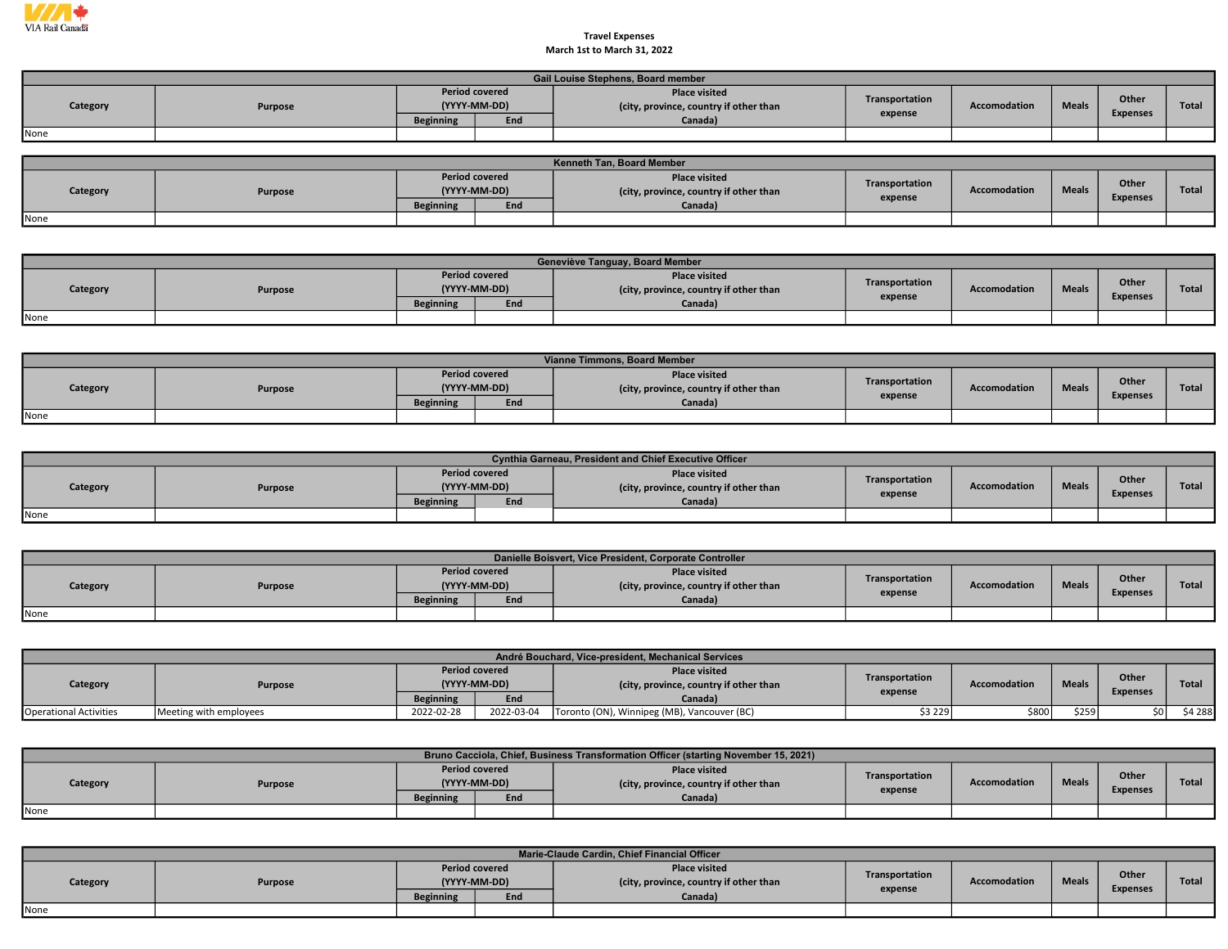

## Travel Expenses March 1st to March 31, 2022

| Gail Louise Stephens, Board member |         |                                       |     |                                                                |                |                     |              |                 |       |  |  |  |
|------------------------------------|---------|---------------------------------------|-----|----------------------------------------------------------------|----------------|---------------------|--------------|-----------------|-------|--|--|--|
| Category                           | Purpose | <b>Period covered</b><br>(YYYY-MM-DD) |     | <b>Place visited</b><br>(city, province, country if other than | Transportation | <b>Accomodation</b> | <b>Meals</b> | Other           | Total |  |  |  |
|                                    |         | <b>Beginning</b>                      | End | Canada)                                                        | expense        |                     |              | <b>Expenses</b> |       |  |  |  |
| None                               |         |                                       |     |                                                                |                |                     |              |                 |       |  |  |  |

| <b>Kenneth Tan. Board Member</b> |         |                                       |     |                                                                |                |              |              |                                 |              |  |  |  |  |
|----------------------------------|---------|---------------------------------------|-----|----------------------------------------------------------------|----------------|--------------|--------------|---------------------------------|--------------|--|--|--|--|
| Category                         | Purpose | <b>Period covered</b><br>(YYYY-MM-DD) |     | <b>Place visited</b><br>(city, province, country if other than | Transportation | Accomodation | <b>Meals</b> | <b>Other</b><br><b>Expenses</b> | <b>Total</b> |  |  |  |  |
|                                  |         | <b>Beginning</b>                      | End | Canada)                                                        | expense        |              |              |                                 |              |  |  |  |  |
| None                             |         |                                       |     |                                                                |                |              |              |                                 |              |  |  |  |  |

|          | Geneviève Tanguay, Board Member |                  |                                       |                                                                |                |              |              |                 |              |  |  |  |  |
|----------|---------------------------------|------------------|---------------------------------------|----------------------------------------------------------------|----------------|--------------|--------------|-----------------|--------------|--|--|--|--|
| Category | <b>Purpose</b>                  |                  | <b>Period covered</b><br>(YYYY-MM-DD) | <b>Place visited</b><br>(city, province, country if other than | Transportation | Accomodation | <b>Meals</b> | <b>Other</b>    | <b>Total</b> |  |  |  |  |
|          |                                 | <b>Beginning</b> | End                                   | Canada)                                                        | expense        |              |              | <b>Expenses</b> |              |  |  |  |  |
| None     |                                 |                  |                                       |                                                                |                |              |              |                 |              |  |  |  |  |

| Vianne Timmons, Board Member |         |                                       |     |                                                               |                |                     |              |                 |       |  |  |  |
|------------------------------|---------|---------------------------------------|-----|---------------------------------------------------------------|----------------|---------------------|--------------|-----------------|-------|--|--|--|
| Category                     | Purpose | <b>Period covered</b><br>(YYYY-MM-DD) |     | <b>Place visited</b><br>city, province, country if other than | Transportation | <b>Accomodation</b> | <b>Meals</b> | Other           | Total |  |  |  |
|                              |         | <b>Beginning</b>                      | End | Canada)                                                       | expense        |                     |              | <b>Expenses</b> |       |  |  |  |
| None                         |         |                                       |     |                                                               |                |                     |              |                 |       |  |  |  |

|          | <b>Cynthia Garneau, President and Chief Executive Officer</b> |                  |                                       |                                                                |                           |                     |              |                          |       |  |  |  |  |
|----------|---------------------------------------------------------------|------------------|---------------------------------------|----------------------------------------------------------------|---------------------------|---------------------|--------------|--------------------------|-------|--|--|--|--|
| Category | Purpose                                                       |                  | <b>Period covered</b><br>(YYYY-MM-DD) | <b>Place visited</b><br>(city, province, country if other than | Transportation<br>expense | <b>Accomodation</b> | <b>Meals</b> | Other<br><b>Expenses</b> | Total |  |  |  |  |
|          |                                                               | <b>Beginning</b> | End                                   | Canada)                                                        |                           |                     |              |                          |       |  |  |  |  |
| None     |                                                               |                  |                                       |                                                                |                           |                     |              |                          |       |  |  |  |  |

|          | Danielle Boisvert, Vice President, Corporate Controller |                  |                                       |                                                                |                           |              |              |                          |       |  |  |  |  |  |
|----------|---------------------------------------------------------|------------------|---------------------------------------|----------------------------------------------------------------|---------------------------|--------------|--------------|--------------------------|-------|--|--|--|--|--|
| Category | Purpose                                                 |                  | <b>Period covered</b><br>(YYYY-MM-DD) | <b>Place visited</b><br>(city, province, country if other than | Transportation<br>expense | Accomodation | <b>Meals</b> | Other<br><b>Expenses</b> | Total |  |  |  |  |  |
|          |                                                         | <b>Beginning</b> | End                                   | Canada)                                                        |                           |              |              |                          |       |  |  |  |  |  |
| None     |                                                         |                  |                                       |                                                                |                           |              |              |                          |       |  |  |  |  |  |

|                               | André Bouchard, Vice-president, Mechanical Services |                                       |            |                                                                |                |                     |              |                 |              |  |  |  |
|-------------------------------|-----------------------------------------------------|---------------------------------------|------------|----------------------------------------------------------------|----------------|---------------------|--------------|-----------------|--------------|--|--|--|
| Category                      | Purpose                                             | <b>Period covered</b><br>(YYYY-MM-DD) |            | <b>Place visited</b><br>(city, province, country if other than | Transportation | <b>Accomodation</b> | <b>Meals</b> | Other           | <b>Total</b> |  |  |  |
|                               |                                                     | <b>Beginning</b>                      | End        | Canada)                                                        | expense        |                     |              | <b>Expenses</b> |              |  |  |  |
| <b>Operational Activities</b> | Meeting with employees                              | 2022-02-28                            | 2022-03-04 | Toronto (ON), Winnipeg (MB), Vancouver (BC)                    | \$3 229        | \$800               | \$259        | sol             | \$4 288      |  |  |  |

|          | Bruno Cacciola, Chief, Business Transformation Officer (starting November 15, 2021) |                  |                                       |                                                                |                |                     |              |                 |       |  |  |  |
|----------|-------------------------------------------------------------------------------------|------------------|---------------------------------------|----------------------------------------------------------------|----------------|---------------------|--------------|-----------------|-------|--|--|--|
| Category | Purpose                                                                             |                  | <b>Period covered</b><br>(YYYY-MM-DD) | <b>Place visited</b><br>(city, province, country if other than | Transportation | <b>Accomodation</b> | <b>Meals</b> | Other           | Total |  |  |  |
|          |                                                                                     | <b>Beginning</b> | End                                   | Canada)                                                        | expense        |                     |              | <b>Expenses</b> |       |  |  |  |
| None     |                                                                                     |                  |                                       |                                                                |                |                     |              |                 |       |  |  |  |

|          | Marie-Claude Cardin, Chief Financial Officer |                  |                                              |                                                                           |                           |              |              |                          |              |  |  |  |
|----------|----------------------------------------------|------------------|----------------------------------------------|---------------------------------------------------------------------------|---------------------------|--------------|--------------|--------------------------|--------------|--|--|--|
| Category | Purpose                                      | <b>Beginning</b> | <b>Period covered</b><br>(YYYY-MM-DD)<br>End | <b>Place visited</b><br>(city, province, country if other than<br>Canada) | Transportation<br>expense | Accomodation | <b>Meals</b> | Other<br><b>Expenses</b> | <b>Total</b> |  |  |  |
| None     |                                              |                  |                                              |                                                                           |                           |              |              |                          |              |  |  |  |